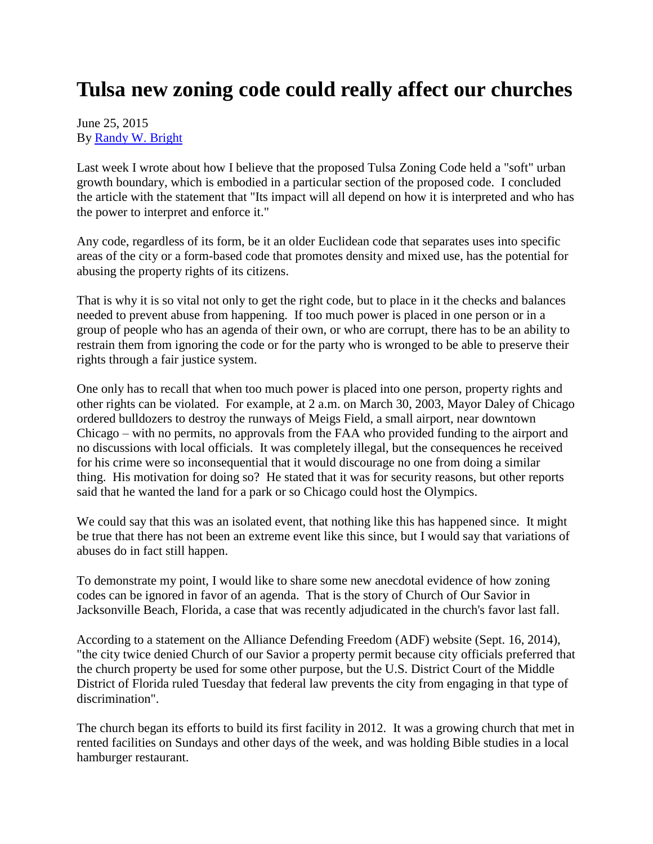## **Tulsa new zoning code could really affect our churches**

## June 25, 2015 By [Randy W. Bright](http://www.tulsabeacon.com/author/slug-o6yd1v)

Last week I wrote about how I believe that the proposed Tulsa Zoning Code held a "soft" urban growth boundary, which is embodied in a particular section of the proposed code. I concluded the article with the statement that "Its impact will all depend on how it is interpreted and who has the power to interpret and enforce it."

Any code, regardless of its form, be it an older Euclidean code that separates uses into specific areas of the city or a form-based code that promotes density and mixed use, has the potential for abusing the property rights of its citizens.

That is why it is so vital not only to get the right code, but to place in it the checks and balances needed to prevent abuse from happening. If too much power is placed in one person or in a group of people who has an agenda of their own, or who are corrupt, there has to be an ability to restrain them from ignoring the code or for the party who is wronged to be able to preserve their rights through a fair justice system.

One only has to recall that when too much power is placed into one person, property rights and other rights can be violated. For example, at 2 a.m. on March 30, 2003, Mayor Daley of Chicago ordered bulldozers to destroy the runways of Meigs Field, a small airport, near downtown Chicago – with no permits, no approvals from the FAA who provided funding to the airport and no discussions with local officials. It was completely illegal, but the consequences he received for his crime were so inconsequential that it would discourage no one from doing a similar thing. His motivation for doing so? He stated that it was for security reasons, but other reports said that he wanted the land for a park or so Chicago could host the Olympics.

We could say that this was an isolated event, that nothing like this has happened since. It might be true that there has not been an extreme event like this since, but I would say that variations of abuses do in fact still happen.

To demonstrate my point, I would like to share some new anecdotal evidence of how zoning codes can be ignored in favor of an agenda. That is the story of Church of Our Savior in Jacksonville Beach, Florida, a case that was recently adjudicated in the church's favor last fall.

According to a statement on the Alliance Defending Freedom (ADF) website (Sept. 16, 2014), "the city twice denied Church of our Savior a property permit because city officials preferred that the church property be used for some other purpose, but the U.S. District Court of the Middle District of Florida ruled Tuesday that federal law prevents the city from engaging in that type of discrimination".

The church began its efforts to build its first facility in 2012. It was a growing church that met in rented facilities on Sundays and other days of the week, and was holding Bible studies in a local hamburger restaurant.